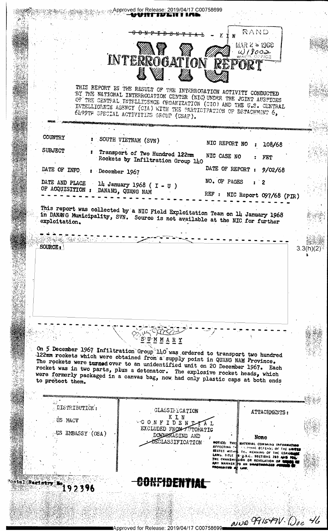್ಯಾ.Approved for Release: 2019/04/17 C00758699 untivlni ina RAND MAR  $2 \approx 1968$ INTERROGATION REPORT  $0.18002$ THIS REPORT IS THE RESULT OF THE INTERROGATION ACTIVITY CONDUCTED BY THE MATIONAL INTERROGATION CENTER (NIC) UNDER THE JOINT AUSPICES OF THE CENTRAL INTELLICENCE ORGANIZATION (CIO) AND THE U.S. CENTRAL INTELLIGENCE AGENCY (CIA) WITH THE PARTICIPATION OF DETACHMENT 6, 6499TH SPECIAL ACTIVITIES SROUP (USAF). COUNTRY SOUTH VIETNAM (SVN) NIC REPORT NO 108/68 **SUBJECT** Transport of Two Hundred 122mm NIC CASE NO Rockets by Infiltration Group 140 FET DATE OF REPORT DATE OF INFO  $9/02/68$ : December 1967 NO. OF PAGES DATE AND PLACE  $\overline{2}$ 14 January 1968 ( $I - U$ )  $\sim 10^{-1}$ OF ACQUISITION : DANANG, QUANG NAM REF : NIC Report 097/68 (PIR) This report was collected by a NIC Field Exploitation Team on 14 January 1968 in DANANG Municipality, SVN. Source is not available at the NIC for further **SOF AND SAN SERIES** SOURCE:  $3.3(n)$ <u>S U M M A R Y</u> On 5 December 1967 Infiltration Group 140 was ordered to transport two hundred 122mm rockets which were obtained from a supply point in QUANG NAM Province. The rockets were turned over to an unidentified unit on 20 December 1967. Each<br>rocket was in two parts, plus a detonator. The explosive rocket heads, which were formerly packaged in a canvas bag, now had only plastic caps at both ends to protect them. DISTRIBUTION: CLASSIFICATION ATTACHMENTS: CONFIDENTAL US MACV EXCLUDED FROM A TOMATIC US ENBASSY (OSA) DOWNATADING AND None NOTICE: THIS MATERIAL<br>AFFECTING THE MATERIAL DEFENSE OF THE MI<br>STATES WITH THE NEANING OF THE ESPION<br>LAWS. TITLE THE NEANING OF THE ESPION<br>THE TRANSMISSION OR REVELATION OF THE TRANSMISSION OR REVELATION OF THE SPION OSCLASSIFICATION **INFORMATIO** INTENING WORKING OF THE UNIT CONFIDENTIAL "ostal Regist 192396 NNO 991549V. Doc 46 Approved for Release: 2019/04/17 C00758699■